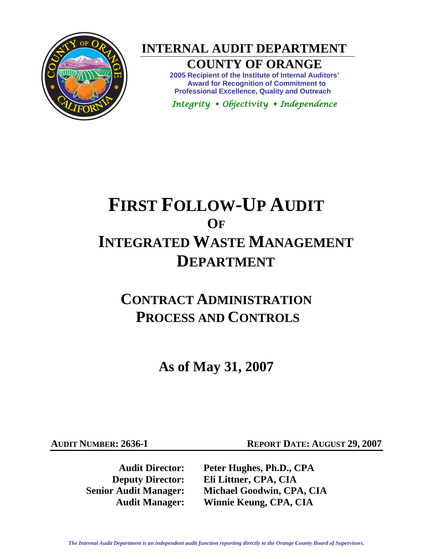

**INTERNAL AUDIT DEPARTMENT** 

## **COUNTY OF ORANGE**

**2005 Recipient of the Institute of Internal Auditors' Award for Recognition of Commitment to Professional Excellence, Quality and Outreach** 

*Integrity Objectivity Independence* 

# **FIRST FOLLOW-UP AUDIT OF INTEGRATED WASTE MANAGEMENT DEPARTMENT**

## **CONTRACT ADMINISTRATION PROCESS AND CONTROLS**

**As of May 31, 2007** 

**AUDIT NUMBER: 2636-I REPORT DATE: AUGUST 29, 2007** 

**Audit Director: Peter Hughes, Ph.D., CPA Deputy Director: Eli Littner, CPA, CIA Senior Audit Manager: Michael Goodwin, CPA, CIA Audit Manager: Winnie Keung, CPA, CIA**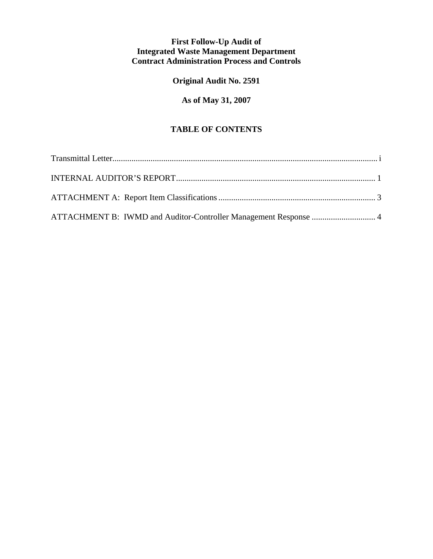## **First Follow-Up Audit of Integrated Waste Management Department Contract Administration Process and Controls**

**Original Audit No. 2591** 

## **As of May 31, 2007**

## **TABLE OF CONTENTS**

| ATTACHMENT B: IWMD and Auditor-Controller Management Response  4 |  |
|------------------------------------------------------------------|--|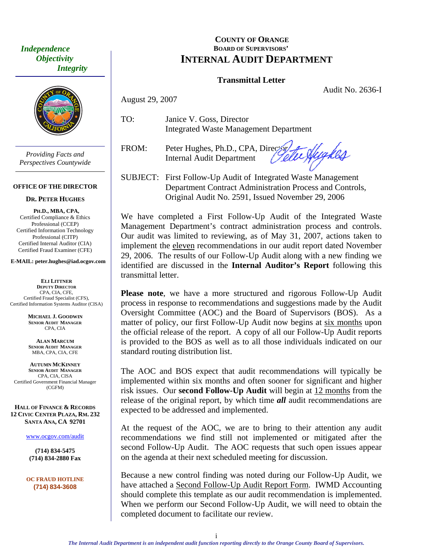<span id="page-2-0"></span> *Independence Objectivity Integrity* 



*Providing Facts and Perspectives Countywide* 

#### **OFFICE OF THE DIRECTOR**

#### **DR. PETER HUGHES**

**PH.D., MBA, CPA,**  Certified Compliance & Ethics Professional (CCEP) Certified Information Technology Professional (CITP) Certified Internal Auditor (CIA) Certified Fraud Examiner (CFE)

**E-MAIL: peter.hughes@iad.ocgov.com** 

**ELI LITTNER DEPUTY DIRECTOR** CPA, CIA, CFE, Certified Fraud Specialist (CFS), Certified Information Systems Auditor (CISA)

> **MICHAEL J. GOODWIN SENIOR AUDIT MANAGER** CPA, CIA

**ALAN MARCUM SENIOR AUDIT MANAGER** MBA, CPA, CIA, CFE

**AUTUMN MCKINNEY SENIOR AUDIT MANAGER** CPA, CIA, CISA Certified Government Financial Manager (CGFM)

**HALL OF FINANCE & RECORDS 12 CIVIC CENTER PLAZA, RM. 232 SANTA ANA, CA 92701** 

www.ocgov.com/audit

**(714) 834-5475 (714) 834-2880 Fax** 

**OC FRAUD HOTLINE (714) 834-3608** 

#### **COUNTY OF ORANGE BOARD OF SUPERVISORS' INTERNAL AUDIT DEPARTMENT**

#### **Transmittal Letter**

Audit No. 2636-I

August 29, 2007

TO: Janice V. Goss, Director Integrated Waste Management Department

FROM: Peter Hughes, Ph.D., CPA, Director Letter Nughles Internal Audit Department

SUBJECT: First Follow-Up Audit of Integrated Waste Management Department Contract Administration Process and Controls, Original Audit No. 2591, Issued November 29, 2006

We have completed a First Follow-Up Audit of the Integrated Waste Management Department's contract administration process and controls. Our audit was limited to reviewing, as of May 31, 2007, actions taken to implement the eleven recommendations in our audit report dated November 29, 2006. The results of our Follow-Up Audit along with a new finding we identified are discussed in the **Internal Auditor's Report** following this transmittal letter.

**Please note**, we have a more structured and rigorous Follow-Up Audit process in response to recommendations and suggestions made by the Audit Oversight Committee (AOC) and the Board of Supervisors (BOS). As a matter of policy, our first Follow-Up Audit now begins at six months upon the official release of the report. A copy of all our Follow-Up Audit reports is provided to the BOS as well as to all those individuals indicated on our standard routing distribution list.

The AOC and BOS expect that audit recommendations will typically be implemented within six months and often sooner for significant and higher risk issues. Our **second Follow-Up Audit** will begin at 12 months from the release of the original report, by which time *all* audit recommendations are expected to be addressed and implemented.

At the request of the AOC, we are to bring to their attention any audit recommendations we find still not implemented or mitigated after the second Follow-Up Audit. The AOC requests that such open issues appear on the agenda at their next scheduled meeting for discussion.

Because a new control finding was noted during our Follow-Up Audit, we have attached a Second Follow-Up Audit Report Form. IWMD Accounting should complete this template as our audit recommendation is implemented. When we perform our Second Follow-Up Audit, we will need to obtain the completed document to facilitate our review.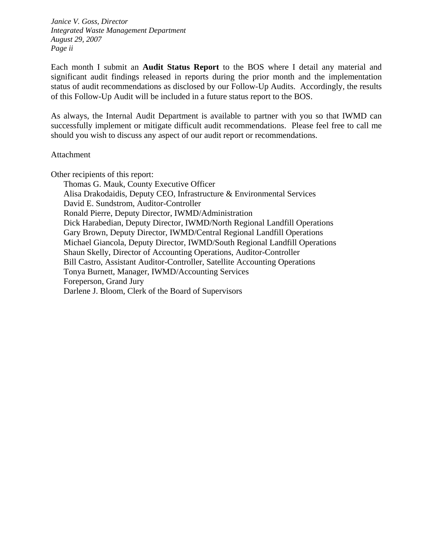*Janice V. Goss, Director Integrated Waste Management Department August 29, 2007 Page ii* 

Each month I submit an **Audit Status Report** to the BOS where I detail any material and significant audit findings released in reports during the prior month and the implementation status of audit recommendations as disclosed by our Follow-Up Audits. Accordingly, the results of this Follow-Up Audit will be included in a future status report to the BOS.

As always, the Internal Audit Department is available to partner with you so that IWMD can successfully implement or mitigate difficult audit recommendations. Please feel free to call me should you wish to discuss any aspect of our audit report or recommendations.

#### Attachment

Other recipients of this report:

 Thomas G. Mauk, County Executive Officer Alisa Drakodaidis, Deputy CEO, Infrastructure & Environmental Services David E. Sundstrom, Auditor-Controller Ronald Pierre, Deputy Director, IWMD/Administration Dick Harabedian, Deputy Director, IWMD/North Regional Landfill Operations Gary Brown, Deputy Director, IWMD/Central Regional Landfill Operations Michael Giancola, Deputy Director, IWMD/South Regional Landfill Operations Shaun Skelly, Director of Accounting Operations, Auditor-Controller Bill Castro, Assistant Auditor-Controller, Satellite Accounting Operations Tonya Burnett, Manager, IWMD/Accounting Services Foreperson, Grand Jury Darlene J. Bloom, Clerk of the Board of Supervisors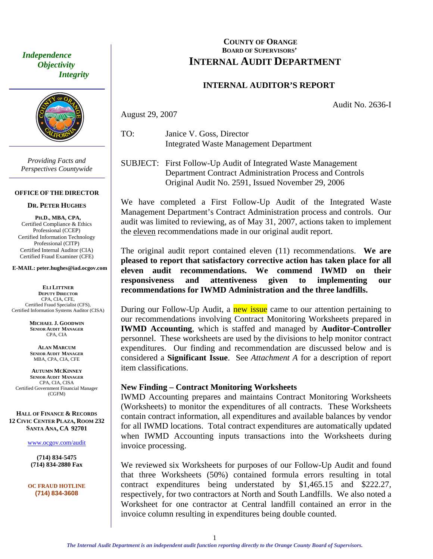*Objectivity Integrity* 



*Providing Facts and Perspectives Countywide* 

#### **OFFICE OF THE DIRECTOR**

**DR. PETER HUGHES**

**PH.D., MBA, CPA,**  Certified Compliance & Ethics Professional (CCEP) Certified Information Technology Professional (CITP) Certified Internal Auditor (CIA) Certified Fraud Examiner (CFE)

**E-MAIL: peter.hughes@iad.ocgov.com** 

**ELI LITTNER DEPUTY DIRECTOR** CPA, CIA, CFE, Certified Fraud Specialist (CFS), Certified Information Systems Auditor (CISA)

> **MICHAEL J. GOODWIN SENIOR AUDIT MANAGER** CPA, CIA

**ALAN MARCUM SENIOR AUDIT MANAGER** MBA, CPA, CIA, CFE

**AUTUMN MCKINNEY SENIOR AUDIT MANAGER** CPA, CIA, CISA Certified Government Financial Manager (CGFM)

**HALL OF FINANCE & RECORDS 12 CIVIC CENTER PLAZA, ROOM 232 SANTA ANA, CA 92701** 

www.ocgov.com/audit

**(714) 834-5475 (714) 834-2880 Fax** 

**OC FRAUD HOTLINE (714) 834-3608** 

### <span id="page-4-0"></span>**COUNTY OF ORANGE BOARD OF SUPERVISORS'**  *Independence*<br>*INTERNAL AUDIT DEPARTMENT*

#### **INTERNAL AUDITOR'S REPORT**

Audit No. 2636-I

August 29, 2007

TO: Janice V. Goss, Director Integrated Waste Management Department

SUBJECT: First Follow-Up Audit of Integrated Waste Management Department Contract Administration Process and Controls Original Audit No. 2591, Issued November 29, 2006

We have completed a First Follow-Up Audit of the Integrated Waste Management Department's Contract Administration process and controls. Our audit was limited to reviewing, as of May 31, 2007, actions taken to implement the eleven recommendations made in our original audit report.

The original audit report contained eleven (11) recommendations. **We are pleased to report that satisfactory corrective action has taken place for all eleven audit recommendations. We commend IWMD on their responsiveness and attentiveness given to implementing our recommendations for IWMD Administration and the three landfills.** 

During our Follow-Up Audit, a new issue came to our attention pertaining to our recommendations involving Contract Monitoring Worksheets prepared in **IWMD Accounting**, which is staffed and managed by **Auditor-Controller** personnel. These worksheets are used by the divisions to help monitor contract expenditures. Our finding and recommendation are discussed below and is considered a **Significant Issue**. See *Attachment A* for a description of report item classifications.

#### **New Finding – Contract Monitoring Worksheets**

IWMD Accounting prepares and maintains Contract Monitoring Worksheets (Worksheets) to monitor the expenditures of all contracts. These Worksheets contain contract information, all expenditures and available balances by vendor for all IWMD locations. Total contract expenditures are automatically updated when IWMD Accounting inputs transactions into the Worksheets during invoice processing.

We reviewed six Worksheets for purposes of our Follow-Up Audit and found that three Worksheets (50%) contained formula errors resulting in total contract expenditures being understated by \$1,465.15 and \$222.27, respectively, for two contractors at North and South Landfills. We also noted a Worksheet for one contractor at Central landfill contained an error in the invoice column resulting in expenditures being double counted.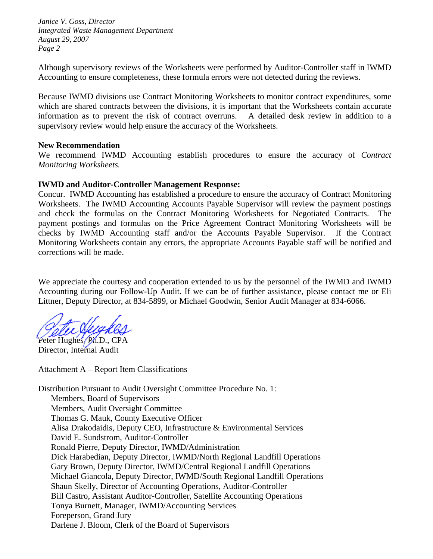*Janice V. Goss, Director Integrated Waste Management Department August 29, 2007 Page 2* 

Although supervisory reviews of the Worksheets were performed by Auditor-Controller staff in IWMD Accounting to ensure completeness, these formula errors were not detected during the reviews.

Because IWMD divisions use Contract Monitoring Worksheets to monitor contract expenditures, some which are shared contracts between the divisions, it is important that the Worksheets contain accurate information as to prevent the risk of contract overruns. A detailed desk review in addition to a supervisory review would help ensure the accuracy of the Worksheets.

#### **New Recommendation**

We recommend IWMD Accounting establish procedures to ensure the accuracy of *Contract Monitoring Worksheets.* 

#### **IWMD and Auditor-Controller Management Response:**

Concur. IWMD Accounting has established a procedure to ensure the accuracy of Contract Monitoring Worksheets. The IWMD Accounting Accounts Payable Supervisor will review the payment postings and check the formulas on the Contract Monitoring Worksheets for Negotiated Contracts. The payment postings and formulas on the Price Agreement Contract Monitoring Worksheets will be checks by IWMD Accounting staff and/or the Accounts Payable Supervisor. If the Contract Monitoring Worksheets contain any errors, the appropriate Accounts Payable staff will be notified and corrections will be made.

We appreciate the courtesy and cooperation extended to us by the personnel of the IWMD and IWMD Accounting during our Follow-Up Audit. If we can be of further assistance, please contact me or Eli Littner, Deputy Director, at 834-5899, or Michael Goodwin, Senior Audit Manager at 834-6066.

Peter Hughes, Ph.D., CPA Director, Internal Audit

Attachment A – Report Item Classifications

Distribution Pursuant to Audit Oversight Committee Procedure No. 1: Members, Board of Supervisors Members, Audit Oversight Committee Thomas G. Mauk, County Executive Officer Alisa Drakodaidis, Deputy CEO, Infrastructure & Environmental Services David E. Sundstrom, Auditor-Controller Ronald Pierre, Deputy Director, IWMD/Administration Dick Harabedian, Deputy Director, IWMD/North Regional Landfill Operations Gary Brown, Deputy Director, IWMD/Central Regional Landfill Operations Michael Giancola, Deputy Director, IWMD/South Regional Landfill Operations Shaun Skelly, Director of Accounting Operations, Auditor-Controller Bill Castro, Assistant Auditor-Controller, Satellite Accounting Operations Tonya Burnett, Manager, IWMD/Accounting Services Foreperson, Grand Jury Darlene J. Bloom, Clerk of the Board of Supervisors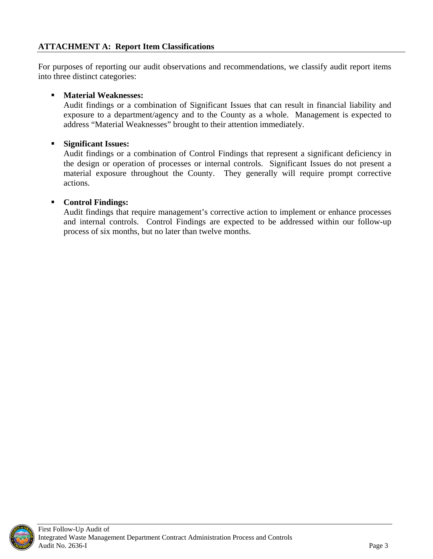<span id="page-6-0"></span>For purposes of reporting our audit observations and recommendations, we classify audit report items into three distinct categories:

## **Material Weaknesses:**

Audit findings or a combination of Significant Issues that can result in financial liability and exposure to a department/agency and to the County as a whole. Management is expected to address "Material Weaknesses" brought to their attention immediately.

### **Significant Issues:**

Audit findings or a combination of Control Findings that represent a significant deficiency in the design or operation of processes or internal controls. Significant Issues do not present a material exposure throughout the County. They generally will require prompt corrective actions.

## **Control Findings:**

Audit findings that require management's corrective action to implement or enhance processes and internal controls.Control Findings are expected to be addressed within our follow-up process of six months, but no later than twelve months.

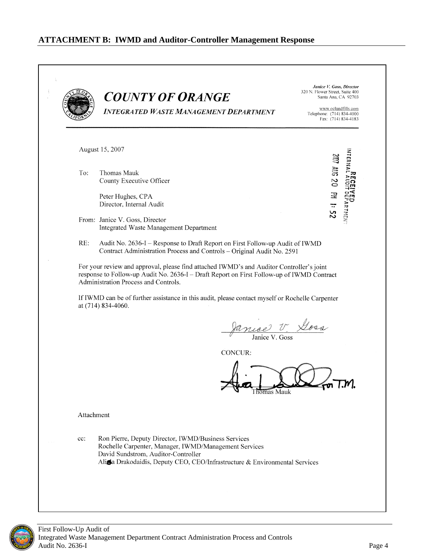<span id="page-7-0"></span>**Janice V. Goss, Director** 320 N. Flower Street, Suite 400 **COUNTY OF ORANGE** Santa Ana, CA 92703 www.oclandfills.com **INTEGRATED WASTE MANAGEMENT DEPARTMENT** Telephone: (714) 834-4000 Fax: (714) 834-4183 August 15, 2007 мтериді дір 207 AUC 20 M 1: 52 To: Thomas Mauk County Executive Officer Peter Hughes, CPA Director, Internal Audit From: Janice V. Goss, Director **Integrated Waste Management Department**  $RE:$ Audit No. 2636-I – Response to Draft Report on First Follow-up Audit of IWMD Contract Administration Process and Controls - Original Audit No. 2591 For your review and approval, please find attached IWMD's and Auditor Controller's joint response to Follow-up Audit No. 2636-I - Draft Report on First Follow-up of IWMD Contract Administration Process and Controls. If IWMD can be of further assistance in this audit, please contact myself or Rochelle Carpenter at (714) 834-4060. Januar V Goss CONCUR: Thomas Mauk Attachment Ron Pierre, Deputy Director, IWMD/Business Services cc: Rochelle Carpenter, Manager, IWMD/Management Services David Sundstrom, Auditor-Controller Alisa Drakodaidis, Deputy CEO, CEO/Infrastructure & Environmental Services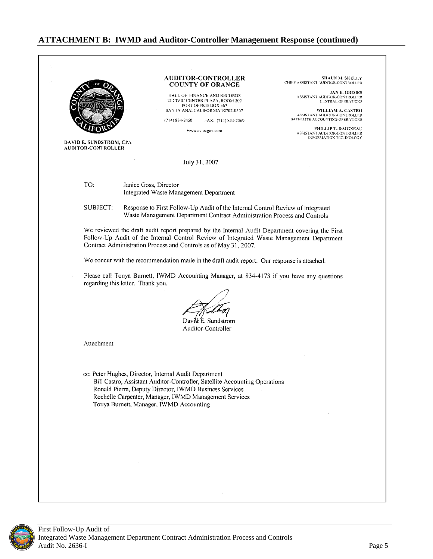#### **ATTACHMENT B: IWMD and Auditor-Controller Management Response (continued)**

**AUDITOR-CONTROLLER** SHAUN M. SKELLY CHIEF ASSISTANT AUDITOR-CONTROLLER **COUNTY OF ORANGE** JAN E, GRIMES<br>ASSISTANT AUDITOR-CONTROLLER HALL OF FINANCE AND RECORDS 12 CIVIC CENTER PLAZA, ROOM 202 **CENTRAL OPERATIONS** POST OFFICE BOX 567 SANTA ANA, CALIFORNIA 92702-0567 WILLIAM A. CASTRO ASSISTANT AUDITOR-CONTROLLER<br>SATELLITE ACCOUNTING OPERATIONS  $(714) 834 - 2450$ FAX: (714) 834-2569 PHILLIP T. DAIGNEAU www.ac.ocgov.com ASSISTANT AUDITOR-CONTROLLER **INFORMATION TECHNOLOGY DAVID E. SUNDSTROM, CPA** AUDITOR-CONTROLLER July 31, 2007 TO: Janice Goss, Director Integrated Waste Management Department **SUBJECT:** Response to First Follow-Up Audit of the Internal Control Review of Integrated Waste Management Department Contract Administration Process and Controls We reviewed the draft audit report prepared by the Internal Audit Department covering the First Follow-Up Audit of the Internal Control Review of Integrated Waste Management Department Contract Administration Process and Controls as of May 31, 2007. We concur with the recommendation made in the draft audit report. Our response is attached. Please call Tonya Burnett, IWMD Accounting Manager, at 834-4173 if you have any questions regarding this letter. Thank you. Davie E. Sundstrom Auditor-Controller Attachment cc: Peter Hughes, Director, Internal Audit Department Bill Castro, Assistant Auditor-Controller, Satellite Accounting Operations Ronald Pierre, Deputy Director, IWMD Business Services Rochelle Carpenter, Manager, IWMD Management Services Tonya Burnett, Manager, IWMD Accounting